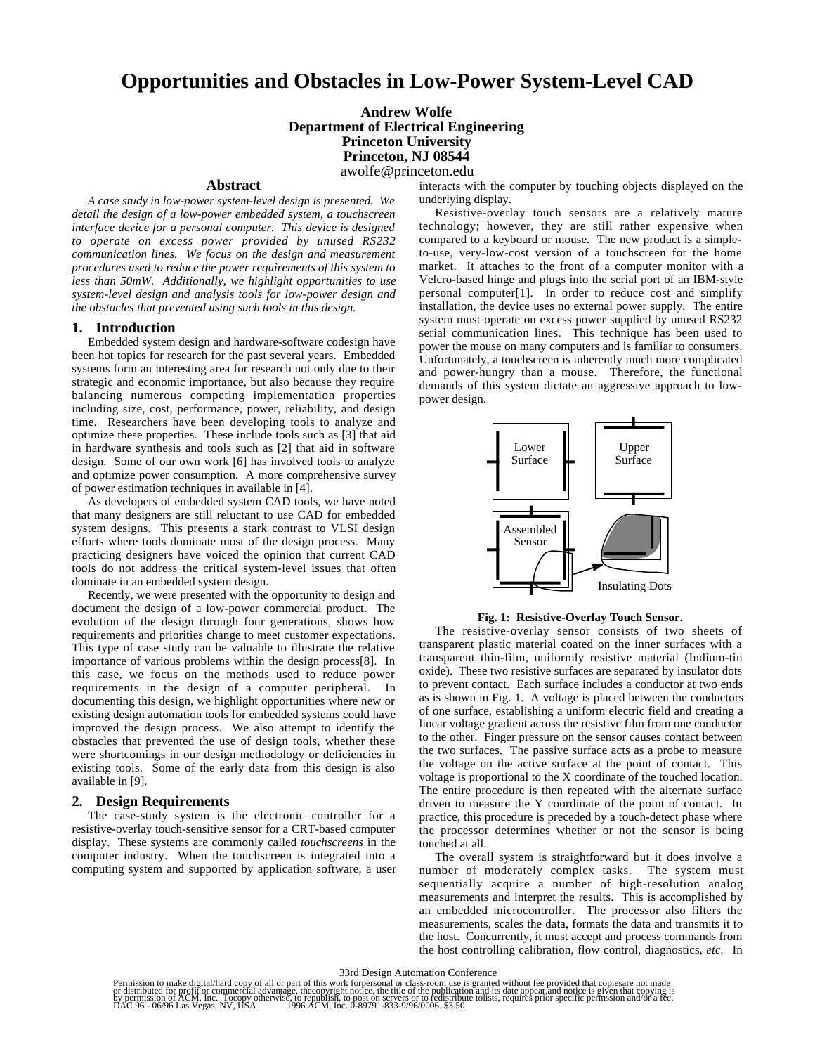# **Opportunities and Obstacles in Low-Power System-Level CAD**

# **Andrew Wolfe Department of Electrical Engineering Princeton University Princeton, NJ 08544**

# awolfe@princeton.edu

#### **Abstract**

*A case study in low-power system-level design is presented. We detail the design of a low-power embedded system, a touchscreen interface device for a personal computer. This device is designed to operate on excess power provided by unused RS232 communication lines. We focus on the design and measurement procedures used to reduce the power requirements of this system to less than 50mW. Additionally, we highlight opportunities to use system-level design and analysis tools for low-power design and the obstacles that prevented using such tools in this design.*

### **1. Introduction**

Embedded system design and hardware-software codesign have been hot topics for research for the past several years. Embedded systems form an interesting area for research not only due to their strategic and economic importance, but also because they require balancing numerous competing implementation properties including size, cost, performance, power, reliability, and design time. Researchers have been developing tools to analyze and optimize these properties. These include tools such as [3] that aid in hardware synthesis and tools such as [2] that aid in software design. Some of our own work [6] has involved tools to analyze and optimize power consumption. A more comprehensive survey of power estimation techniques in available in [4].

As developers of embedded system CAD tools, we have noted that many designers are still reluctant to use CAD for embedded system designs. This presents a stark contrast to VLSI design efforts where tools dominate most of the design process. Many practicing designers have voiced the opinion that current CAD tools do not address the critical system-level issues that often dominate in an embedded system design.

Recently, we were presented with the opportunity to design and document the design of a low-power commercial product. The evolution of the design through four generations, shows how requirements and priorities change to meet customer expectations. This type of case study can be valuable to illustrate the relative importance of various problems within the design process[8]. In this case, we focus on the methods used to reduce power requirements in the design of a computer peripheral. In documenting this design, we highlight opportunities where new or existing design automation tools for embedded systems could have improved the design process. We also attempt to identify the obstacles that prevented the use of design tools, whether these were shortcomings in our design methodology or deficiencies in existing tools. Some of the early data from this design is also available in [9].

# **2. Design Requirements**

The case-study system is the electronic controller for a resistive-overlay touch-sensitive sensor for a CRT-based computer display. These systems are commonly called *touchscreens* in the computer industry. When the touchscreen is integrated into a computing system and supported by application software, a user interacts with the computer by touching objects displayed on the underlying display.

Resistive-overlay touch sensors are a relatively mature technology; however, they are still rather expensive when compared to a keyboard or mouse. The new product is a simpleto-use, very-low-cost version of a touchscreen for the home market. It attaches to the front of a computer monitor with a Velcro-based hinge and plugs into the serial port of an IBM-style personal computer[1]. In order to reduce cost and simplify installation, the device uses no external power supply. The entire system must operate on excess power supplied by unused RS232 serial communication lines. This technique has been used to power the mouse on many computers and is familiar to consumers. Unfortunately, a touchscreen is inherently much more complicated and power-hungry than a mouse. Therefore, the functional demands of this system dictate an aggressive approach to lowpower design.



**Fig. 1: Resistive-Overlay Touch Sensor.**

The resistive-overlay sensor consists of two sheets of transparent plastic material coated on the inner surfaces with a transparent thin-film, uniformly resistive material (Indium-tin oxide). These two resistive surfaces are separated by insulator dots to prevent contact. Each surface includes a conductor at two ends as is shown in Fig. 1. A voltage is placed between the conductors of one surface, establishing a uniform electric field and creating a linear voltage gradient across the resistive film from one conductor to the other. Finger pressure on the sensor causes contact between the two surfaces. The passive surface acts as a probe to measure the voltage on the active surface at the point of contact. This voltage is proportional to the X coordinate of the touched location. The entire procedure is then repeated with the alternate surface driven to measure the Y coordinate of the point of contact. In practice, this procedure is preceded by a touch-detect phase where the processor determines whether or not the sensor is being touched at all.

The overall system is straightforward but it does involve a number of moderately complex tasks. The system must sequentially acquire a number of high-resolution analog measurements and interpret the results. This is accomplished by an embedded microcontroller. The processor also filters the measurements, scales the data, formats the data and transmits it to the host. Concurrently, it must accept and process commands from the host controlling calibration, flow control, diagnostics, *etc.* In

33rd Design Automation Conference

Permission to make digital/hard copy of all or part of this work for personal or class-room use is granted without fee provided that copies are not made<br>or distributed for profit or commercial advantage, the copyright noti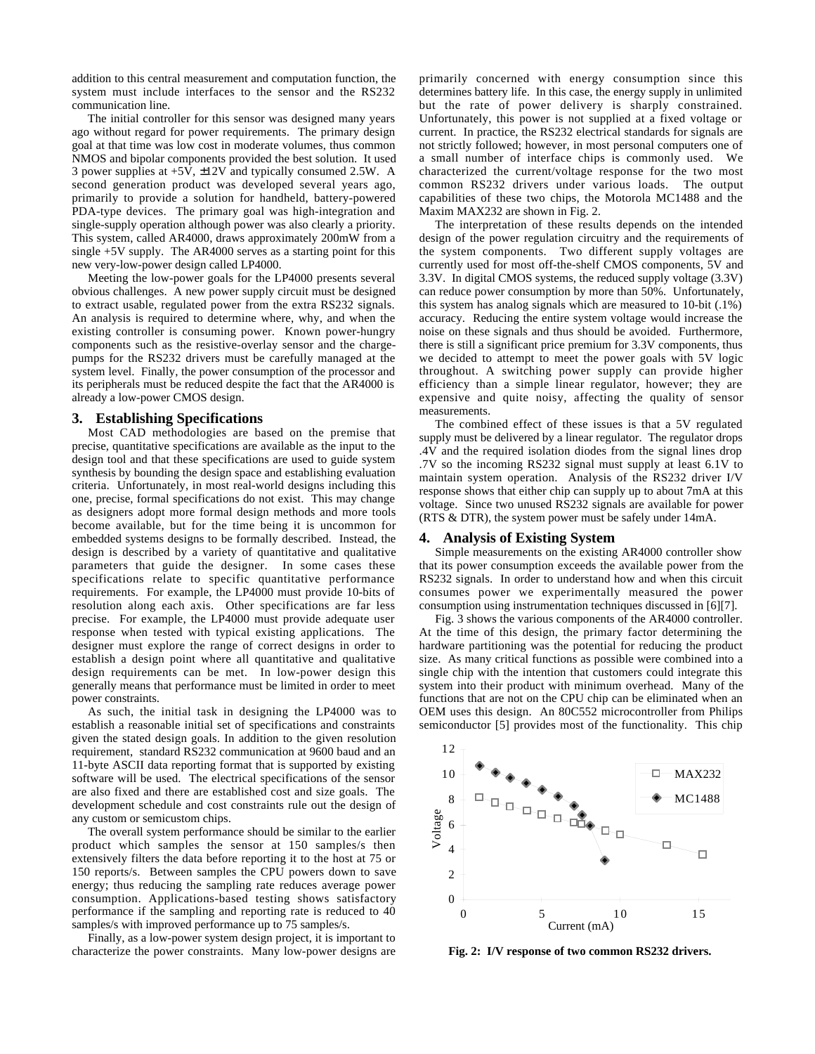addition to this central measurement and computation function, the system must include interfaces to the sensor and the RS232 communication line.

The initial controller for this sensor was designed many years ago without regard for power requirements. The primary design goal at that time was low cost in moderate volumes, thus common NMOS and bipolar components provided the best solution. It used 3 power supplies at +5V, ±12V and typically consumed 2.5W. A second generation product was developed several years ago, primarily to provide a solution for handheld, battery-powered PDA-type devices. The primary goal was high-integration and single-supply operation although power was also clearly a priority. This system, called AR4000, draws approximately 200mW from a single +5V supply. The AR4000 serves as a starting point for this new very-low-power design called LP4000.

Meeting the low-power goals for the LP4000 presents several obvious challenges. A new power supply circuit must be designed to extract usable, regulated power from the extra RS232 signals. An analysis is required to determine where, why, and when the existing controller is consuming power. Known power-hungry components such as the resistive-overlay sensor and the chargepumps for the RS232 drivers must be carefully managed at the system level. Finally, the power consumption of the processor and its peripherals must be reduced despite the fact that the AR4000 is already a low-power CMOS design.

#### **3. Establishing Specifications**

Most CAD methodologies are based on the premise that precise, quantitative specifications are available as the input to the design tool and that these specifications are used to guide system synthesis by bounding the design space and establishing evaluation criteria. Unfortunately, in most real-world designs including this one, precise, formal specifications do not exist. This may change as designers adopt more formal design methods and more tools become available, but for the time being it is uncommon for embedded systems designs to be formally described. Instead, the design is described by a variety of quantitative and qualitative parameters that guide the designer. In some cases these specifications relate to specific quantitative performance requirements. For example, the LP4000 must provide 10-bits of resolution along each axis. Other specifications are far less precise. For example, the LP4000 must provide adequate user response when tested with typical existing applications. The designer must explore the range of correct designs in order to establish a design point where all quantitative and qualitative design requirements can be met. In low-power design this generally means that performance must be limited in order to meet power constraints.

As such, the initial task in designing the LP4000 was to establish a reasonable initial set of specifications and constraints given the stated design goals. In addition to the given resolution requirement, standard RS232 communication at 9600 baud and an 11-byte ASCII data reporting format that is supported by existing software will be used. The electrical specifications of the sensor are also fixed and there are established cost and size goals. The development schedule and cost constraints rule out the design of any custom or semicustom chips.

The overall system performance should be similar to the earlier product which samples the sensor at 150 samples/s then extensively filters the data before reporting it to the host at 75 or 150 reports/s. Between samples the CPU powers down to save energy; thus reducing the sampling rate reduces average power consumption. Applications-based testing shows satisfactory performance if the sampling and reporting rate is reduced to 40 samples/s with improved performance up to 75 samples/s.

Finally, as a low-power system design project, it is important to characterize the power constraints. Many low-power designs are primarily concerned with energy consumption since this determines battery life. In this case, the energy supply in unlimited but the rate of power delivery is sharply constrained. Unfortunately, this power is not supplied at a fixed voltage or current. In practice, the RS232 electrical standards for signals are not strictly followed; however, in most personal computers one of a small number of interface chips is commonly used. We characterized the current/voltage response for the two most common RS232 drivers under various loads. The output capabilities of these two chips, the Motorola MC1488 and the Maxim MAX232 are shown in Fig. 2.

The interpretation of these results depends on the intended design of the power regulation circuitry and the requirements of the system components. Two different supply voltages are currently used for most off-the-shelf CMOS components, 5V and 3.3V. In digital CMOS systems, the reduced supply voltage (3.3V) can reduce power consumption by more than 50%. Unfortunately, this system has analog signals which are measured to 10-bit (.1%) accuracy. Reducing the entire system voltage would increase the noise on these signals and thus should be avoided. Furthermore, there is still a significant price premium for 3.3V components, thus we decided to attempt to meet the power goals with 5V logic throughout. A switching power supply can provide higher efficiency than a simple linear regulator, however; they are expensive and quite noisy, affecting the quality of sensor measurements.

The combined effect of these issues is that a 5V regulated supply must be delivered by a linear regulator. The regulator drops .4V and the required isolation diodes from the signal lines drop .7V so the incoming RS232 signal must supply at least 6.1V to maintain system operation. Analysis of the RS232 driver I/V response shows that either chip can supply up to about 7mA at this voltage. Since two unused RS232 signals are available for power (RTS & DTR), the system power must be safely under 14mA.

# **4. Analysis of Existing System**

Simple measurements on the existing AR4000 controller show that its power consumption exceeds the available power from the RS232 signals. In order to understand how and when this circuit consumes power we experimentally measured the power consumption using instrumentation techniques discussed in [6][7].

Fig. 3 shows the various components of the AR4000 controller. At the time of this design, the primary factor determining the hardware partitioning was the potential for reducing the product size. As many critical functions as possible were combined into a single chip with the intention that customers could integrate this system into their product with minimum overhead. Many of the functions that are not on the CPU chip can be eliminated when an OEM uses this design. An 80C552 microcontroller from Philips semiconductor [5] provides most of the functionality. This chip



**Fig. 2: I/V response of two common RS232 drivers.**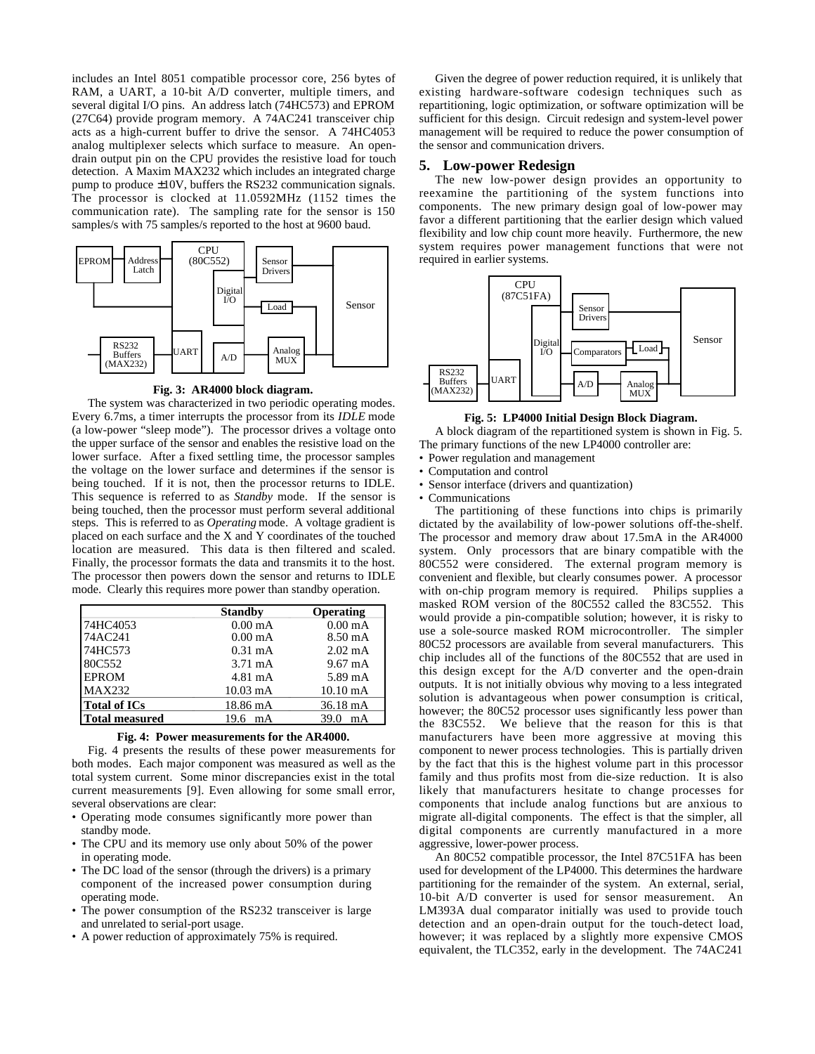includes an Intel 8051 compatible processor core, 256 bytes of RAM, a UART, a 10-bit A/D converter, multiple timers, and several digital I/O pins. An address latch (74HC573) and EPROM (27C64) provide program memory. A 74AC241 transceiver chip acts as a high-current buffer to drive the sensor. A 74HC4053 analog multiplexer selects which surface to measure. An opendrain output pin on the CPU provides the resistive load for touch detection. A Maxim MAX232 which includes an integrated charge pump to produce ±10V, buffers the RS232 communication signals. The processor is clocked at 11.0592MHz (1152 times the communication rate). The sampling rate for the sensor is 150 samples/s with 75 samples/s reported to the host at 9600 baud.



**Fig. 3: AR4000 block diagram.**

The system was characterized in two periodic operating modes. Every 6.7ms, a timer interrupts the processor from its *IDLE* mode (a low-power "sleep mode"). The processor drives a voltage onto the upper surface of the sensor and enables the resistive load on the lower surface. After a fixed settling time, the processor samples the voltage on the lower surface and determines if the sensor is being touched. If it is not, then the processor returns to IDLE. This sequence is referred to as *Standby* mode. If the sensor is being touched, then the processor must perform several additional steps. This is referred to as *Operating* mode. A voltage gradient is placed on each surface and the X and Y coordinates of the touched location are measured. This data is then filtered and scaled. Finally, the processor formats the data and transmits it to the host. The processor then powers down the sensor and returns to IDLE mode. Clearly this requires more power than standby operation.

|                       | <b>Standby</b>     | <b>Operating</b>    |
|-----------------------|--------------------|---------------------|
| 74HC4053              | $0.00 \text{ mA}$  | 0.00 <sub>m</sub> A |
| 74AC241               | $0.00 \text{ mA}$  | $8.50 \text{ mA}$   |
| 74HC573               | $0.31 \text{ mA}$  | $2.02 \text{ mA}$   |
| 80C552                | $3.71 \text{ mA}$  | $9.67 \text{ mA}$   |
| <b>EPROM</b>          | $4.81 \text{ mA}$  | 5.89 mA             |
| <b>MAX232</b>         | $10.03 \text{ mA}$ | $10.10 \text{ mA}$  |
| <b>Total of ICs</b>   | 18.86 mA           | 36.18 mA            |
| <b>Total measured</b> | mA<br>19.6         | 39.O<br>mA          |

# **Fig. 4: Power measurements for the AR4000.**

Fig. 4 presents the results of these power measurements for both modes. Each major component was measured as well as the total system current. Some minor discrepancies exist in the total current measurements [9]. Even allowing for some small error, several observations are clear:

- Operating mode consumes significantly more power than standby mode.
- The CPU and its memory use only about 50% of the power in operating mode.
- The DC load of the sensor (through the drivers) is a primary component of the increased power consumption during operating mode.
- The power consumption of the RS232 transceiver is large and unrelated to serial-port usage.
- A power reduction of approximately 75% is required.

Given the degree of power reduction required, it is unlikely that existing hardware-software codesign techniques such as repartitioning, logic optimization, or software optimization will be sufficient for this design. Circuit redesign and system-level power management will be required to reduce the power consumption of the sensor and communication drivers.

# **5. Low-power Redesign**

The new low-power design provides an opportunity to reexamine the partitioning of the system functions into components. The new primary design goal of low-power may favor a different partitioning that the earlier design which valued flexibility and low chip count more heavily. Furthermore, the new system requires power management functions that were not required in earlier systems.



**Fig. 5: LP4000 Initial Design Block Diagram.**

A block diagram of the repartitioned system is shown in Fig. 5. The primary functions of the new LP4000 controller are:

- Power regulation and management
- Computation and control
- Sensor interface (drivers and quantization)
- Communications

The partitioning of these functions into chips is primarily dictated by the availability of low-power solutions off-the-shelf. The processor and memory draw about 17.5mA in the AR4000 system. Only processors that are binary compatible with the 80C552 were considered. The external program memory is convenient and flexible, but clearly consumes power. A processor with on-chip program memory is required. Philips supplies a masked ROM version of the 80C552 called the 83C552. This would provide a pin-compatible solution; however, it is risky to use a sole-source masked ROM microcontroller. The simpler 80C52 processors are available from several manufacturers. This chip includes all of the functions of the 80C552 that are used in this design except for the A/D converter and the open-drain outputs. It is not initially obvious why moving to a less integrated solution is advantageous when power consumption is critical, however; the 80C52 processor uses significantly less power than the 83C552. We believe that the reason for this is that manufacturers have been more aggressive at moving this component to newer process technologies. This is partially driven by the fact that this is the highest volume part in this processor family and thus profits most from die-size reduction. It is also likely that manufacturers hesitate to change processes for components that include analog functions but are anxious to migrate all-digital components. The effect is that the simpler, all digital components are currently manufactured in a more aggressive, lower-power process.

An 80C52 compatible processor, the Intel 87C51FA has been used for development of the LP4000. This determines the hardware partitioning for the remainder of the system. An external, serial, 10-bit A/D converter is used for sensor measurement. An LM393A dual comparator initially was used to provide touch detection and an open-drain output for the touch-detect load, however; it was replaced by a slightly more expensive CMOS equivalent, the TLC352, early in the development. The 74AC241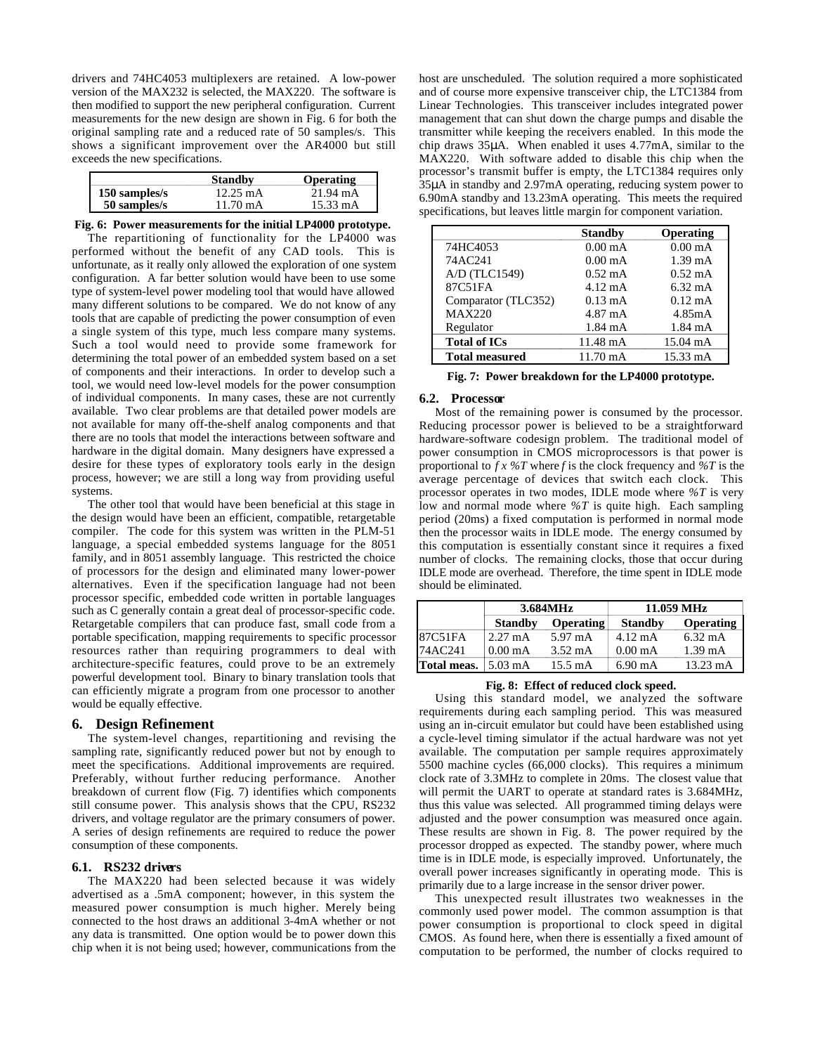drivers and 74HC4053 multiplexers are retained. A low-power version of the MAX232 is selected, the MAX220. The software is then modified to support the new peripheral configuration. Current measurements for the new design are shown in Fig. 6 for both the original sampling rate and a reduced rate of 50 samples/s. This shows a significant improvement over the AR4000 but still exceeds the new specifications.

|               | <b>Standby</b>     | <b>Operating</b>   |
|---------------|--------------------|--------------------|
| 150 samples/s | $12.25 \text{ mA}$ | $21.94 \text{ mA}$ |
| 50 samples/s  | $11.70 \text{ mA}$ | 15.33 mA           |

#### **Fig. 6: Power measurements for the initial LP4000 prototype.**

The repartitioning of functionality for the LP4000 was performed without the benefit of any CAD tools. This is unfortunate, as it really only allowed the exploration of one system configuration. A far better solution would have been to use some type of system-level power modeling tool that would have allowed many different solutions to be compared. We do not know of any tools that are capable of predicting the power consumption of even a single system of this type, much less compare many systems. Such a tool would need to provide some framework for determining the total power of an embedded system based on a set of components and their interactions. In order to develop such a tool, we would need low-level models for the power consumption of individual components. In many cases, these are not currently available. Two clear problems are that detailed power models are not available for many off-the-shelf analog components and that there are no tools that model the interactions between software and hardware in the digital domain. Many designers have expressed a desire for these types of exploratory tools early in the design process, however; we are still a long way from providing useful systems.

The other tool that would have been beneficial at this stage in the design would have been an efficient, compatible, retargetable compiler. The code for this system was written in the PLM-51 language, a special embedded systems language for the 8051 family, and in 8051 assembly language. This restricted the choice of processors for the design and eliminated many lower-power alternatives. Even if the specification language had not been processor specific, embedded code written in portable languages such as C generally contain a great deal of processor-specific code. Retargetable compilers that can produce fast, small code from a portable specification, mapping requirements to specific processor resources rather than requiring programmers to deal with architecture-specific features, could prove to be an extremely powerful development tool. Binary to binary translation tools that can efficiently migrate a program from one processor to another would be equally effective.

# **6. Design Refinement**

The system-level changes, repartitioning and revising the sampling rate, significantly reduced power but not by enough to meet the specifications. Additional improvements are required. Preferably, without further reducing performance. Another breakdown of current flow (Fig. 7) identifies which components still consume power. This analysis shows that the CPU, RS232 drivers, and voltage regulator are the primary consumers of power. A series of design refinements are required to reduce the power consumption of these components.

# **6.1. RS232 drivers**

The MAX220 had been selected because it was widely advertised as a .5mA component; however, in this system the measured power consumption is much higher. Merely being connected to the host draws an additional 3-4mA whether or not any data is transmitted. One option would be to power down this chip when it is not being used; however, communications from the host are unscheduled. The solution required a more sophisticated and of course more expensive transceiver chip, the LTC1384 from Linear Technologies. This transceiver includes integrated power management that can shut down the charge pumps and disable the transmitter while keeping the receivers enabled. In this mode the chip draws 35µA. When enabled it uses 4.77mA, similar to the MAX220. With software added to disable this chip when the processor's transmit buffer is empty, the LTC1384 requires only 35µA in standby and 2.97mA operating, reducing system power to 6.90mA standby and 13.23mA operating. This meets the required specifications, but leaves little margin for component variation.

|                       | <b>Standby</b>      | Operating           |
|-----------------------|---------------------|---------------------|
| 74HC4053              | 0.00 <sub>m</sub> A | 0.00 <sub>m</sub> A |
| 74AC241               | 0.00 <sub>m</sub> A | $1.39 \text{ mA}$   |
| $A/D$ (TLC1549)       | $0.52 \text{ mA}$   | $0.52 \text{ mA}$   |
| 87C51FA               | $4.12 \text{ mA}$   | $6.32 \text{ mA}$   |
| Comparator (TLC352)   | $0.13 \text{ mA}$   | $0.12 \text{ mA}$   |
| <b>MAX220</b>         | $4.87 \text{ mA}$   | 4.85mA              |
| Regulator             | $1.84 \text{ mA}$   | $1.84 \text{ mA}$   |
| <b>Total of ICs</b>   | $11.48 \text{ mA}$  | $15.04 \text{ mA}$  |
| <b>Total measured</b> | $11.70 \text{ mA}$  | 15.33 mA            |

**Fig. 7: Power breakdown for the LP4000 prototype.**

#### **6.2. Processor**

Most of the remaining power is consumed by the processor. Reducing processor power is believed to be a straightforward hardware-software codesign problem. The traditional model of power consumption in CMOS microprocessors is that power is proportional to *f x %T* where *f* is the clock frequency and *%T* is the average percentage of devices that switch each clock. This processor operates in two modes, IDLE mode where *%T* is very low and normal mode where *%T* is quite high. Each sampling period (20ms) a fixed computation is performed in normal mode then the processor waits in IDLE mode. The energy consumed by this computation is essentially constant since it requires a fixed number of clocks. The remaining clocks, those that occur during IDLE mode are overhead. Therefore, the time spent in IDLE mode should be eliminated.

|                                    | 3.684MHz          |                   | 11.059 MHz        |                    |  |
|------------------------------------|-------------------|-------------------|-------------------|--------------------|--|
| <b>Standby</b><br><b>Operating</b> |                   | <b>Standby</b>    | <b>Operating</b>  |                    |  |
| 87C51FA                            | $2.27 \text{ mA}$ | 5.97 mA           | $4.12 \text{ mA}$ | $6.32 \text{ mA}$  |  |
| 74AC241                            | $0.00 \text{ mA}$ | $3.52 \text{ mA}$ | $0.00 \text{ mA}$ | $1.39 \text{ mA}$  |  |
| <b>Total meas.</b>                 | $5.03 \text{ mA}$ | $15.5 \text{ mA}$ | $6.90 \text{ mA}$ | $13.23 \text{ mA}$ |  |

#### **Fig. 8: Effect of reduced clock speed.**

Using this standard model, we analyzed the software requirements during each sampling period. This was measured using an in-circuit emulator but could have been established using a cycle-level timing simulator if the actual hardware was not yet available. The computation per sample requires approximately 5500 machine cycles (66,000 clocks). This requires a minimum clock rate of 3.3MHz to complete in 20ms. The closest value that will permit the UART to operate at standard rates is 3.684MHz, thus this value was selected. All programmed timing delays were adjusted and the power consumption was measured once again. These results are shown in Fig. 8. The power required by the processor dropped as expected. The standby power, where much time is in IDLE mode, is especially improved. Unfortunately, the overall power increases significantly in operating mode. This is primarily due to a large increase in the sensor driver power.

This unexpected result illustrates two weaknesses in the commonly used power model. The common assumption is that power consumption is proportional to clock speed in digital CMOS. As found here, when there is essentially a fixed amount of computation to be performed, the number of clocks required to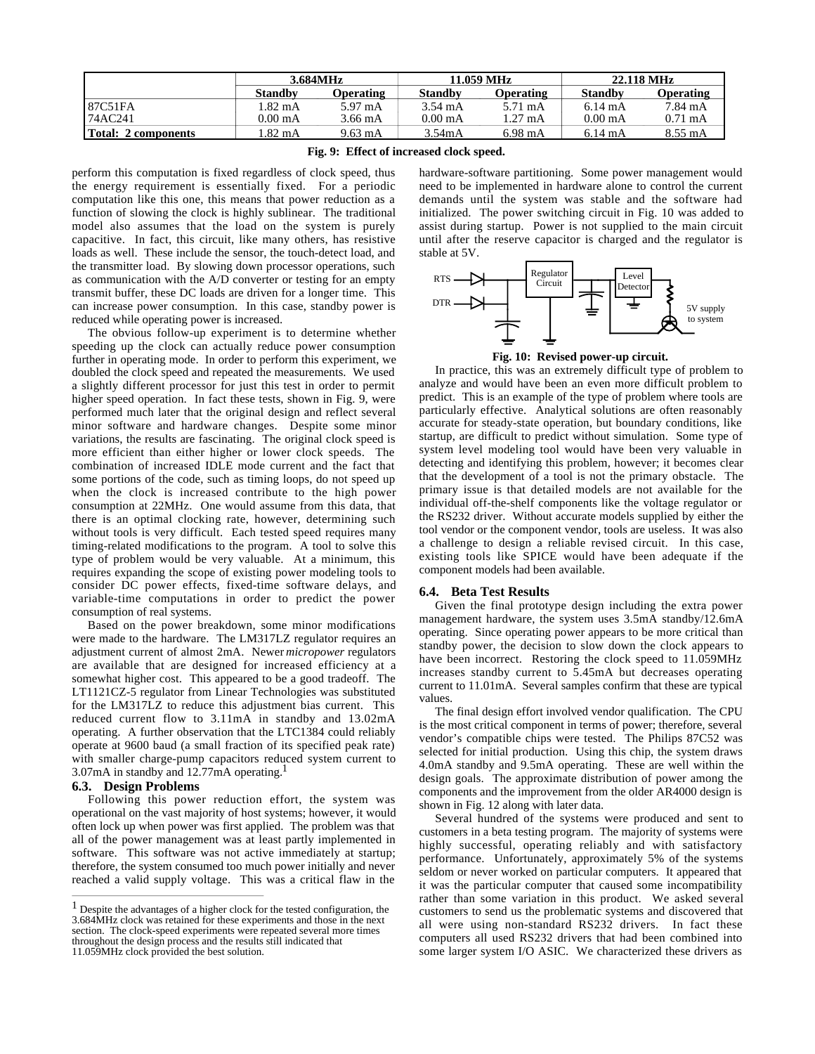|                     | 3.684MHz         |                   | 11.059 MHz        |                   | 22.118 MHz        |                   |
|---------------------|------------------|-------------------|-------------------|-------------------|-------------------|-------------------|
|                     | <b>Standby</b>   | <b>Operating</b>  | <b>Standby</b>    | <b>Operating</b>  | <b>Standby</b>    | <b>Operating</b>  |
| 87C51FA             | 1.82 mA          | 5.97 mA           | $3.54 \text{ mA}$ | 5.71 mA           | $6.14 \text{ mA}$ | 7.84 mA           |
| 74AC241             | 0.00 mA          | $3.66 \text{ mA}$ | $0.00 \text{ mA}$ | .27 mA            | $0.00 \text{ mA}$ | $0.71 \text{ mA}$ |
| Total: 2 components | $.82 \text{ mA}$ | $9.63 \text{ mA}$ | 3.54mA            | $6.98 \text{ mA}$ | $6.14 \text{ mA}$ | $8.55 \text{ mA}$ |

**Fig. 9: Effect of increased clock speed.**

perform this computation is fixed regardless of clock speed, thus the energy requirement is essentially fixed. For a periodic computation like this one, this means that power reduction as a function of slowing the clock is highly sublinear. The traditional model also assumes that the load on the system is purely capacitive. In fact, this circuit, like many others, has resistive loads as well. These include the sensor, the touch-detect load, and the transmitter load. By slowing down processor operations, such as communication with the A/D converter or testing for an empty transmit buffer, these DC loads are driven for a longer time. This can increase power consumption. In this case, standby power is reduced while operating power is increased.

The obvious follow-up experiment is to determine whether speeding up the clock can actually reduce power consumption further in operating mode. In order to perform this experiment, we doubled the clock speed and repeated the measurements. We used a slightly different processor for just this test in order to permit higher speed operation. In fact these tests, shown in Fig. 9, were performed much later that the original design and reflect several minor software and hardware changes. Despite some minor variations, the results are fascinating. The original clock speed is more efficient than either higher or lower clock speeds. The combination of increased IDLE mode current and the fact that some portions of the code, such as timing loops, do not speed up when the clock is increased contribute to the high power consumption at 22MHz. One would assume from this data, that there is an optimal clocking rate, however, determining such without tools is very difficult. Each tested speed requires many timing-related modifications to the program. A tool to solve this type of problem would be very valuable. At a minimum, this requires expanding the scope of existing power modeling tools to consider DC power effects, fixed-time software delays, and variable-time computations in order to predict the power consumption of real systems.

Based on the power breakdown, some minor modifications were made to the hardware. The LM317LZ regulator requires an adjustment current of almost 2mA. Newer *micropower* regulators are available that are designed for increased efficiency at a somewhat higher cost. This appeared to be a good tradeoff. The LT1121CZ-5 regulator from Linear Technologies was substituted for the LM317LZ to reduce this adjustment bias current. This reduced current flow to 3.11mA in standby and 13.02mA operating. A further observation that the LTC1384 could reliably operate at 9600 baud (a small fraction of its specified peak rate) with smaller charge-pump capacitors reduced system current to 3.07mA in standby and 12.77mA operating.1

#### **6.3. Design Problems**

Following this power reduction effort, the system was operational on the vast majority of host systems; however, it would often lock up when power was first applied. The problem was that all of the power management was at least partly implemented in software. This software was not active immediately at startup; therefore, the system consumed too much power initially and never reached a valid supply voltage. This was a critical flaw in the

hardware-software partitioning. Some power management would need to be implemented in hardware alone to control the current demands until the system was stable and the software had initialized. The power switching circuit in Fig. 10 was added to assist during startup. Power is not supplied to the main circuit until after the reserve capacitor is charged and the regulator is stable at 5V.



**Fig. 10: Revised power-up circuit.**

In practice, this was an extremely difficult type of problem to analyze and would have been an even more difficult problem to predict. This is an example of the type of problem where tools are particularly effective. Analytical solutions are often reasonably accurate for steady-state operation, but boundary conditions, like startup, are difficult to predict without simulation. Some type of system level modeling tool would have been very valuable in detecting and identifying this problem, however; it becomes clear that the development of a tool is not the primary obstacle. The primary issue is that detailed models are not available for the individual off-the-shelf components like the voltage regulator or the RS232 driver. Without accurate models supplied by either the tool vendor or the component vendor, tools are useless. It was also a challenge to design a reliable revised circuit. In this case, existing tools like SPICE would have been adequate if the component models had been available.

#### **6.4. Beta Test Results**

Given the final prototype design including the extra power management hardware, the system uses 3.5mA standby/12.6mA operating. Since operating power appears to be more critical than standby power, the decision to slow down the clock appears to have been incorrect. Restoring the clock speed to 11.059MHz increases standby current to 5.45mA but decreases operating current to 11.01mA. Several samples confirm that these are typical values.

The final design effort involved vendor qualification. The CPU is the most critical component in terms of power; therefore, several vendor's compatible chips were tested. The Philips 87C52 was selected for initial production. Using this chip, the system draws 4.0mA standby and 9.5mA operating. These are well within the design goals. The approximate distribution of power among the components and the improvement from the older AR4000 design is shown in Fig. 12 along with later data.

Several hundred of the systems were produced and sent to customers in a beta testing program. The majority of systems were highly successful, operating reliably and with satisfactory performance. Unfortunately, approximately 5% of the systems seldom or never worked on particular computers. It appeared that it was the particular computer that caused some incompatibility rather than some variation in this product. We asked several customers to send us the problematic systems and discovered that all were using non-standard RS232 drivers. In fact these computers all used RS232 drivers that had been combined into some larger system I/O ASIC. We characterized these drivers as

 <sup>1</sup> Despite the advantages of a higher clock for the tested configuration, the 3.684MHz clock was retained for these experiments and those in the next section. The clock-speed experiments were repeated several more times throughout the design process and the results still indicated that 11.059MHz clock provided the best solution.